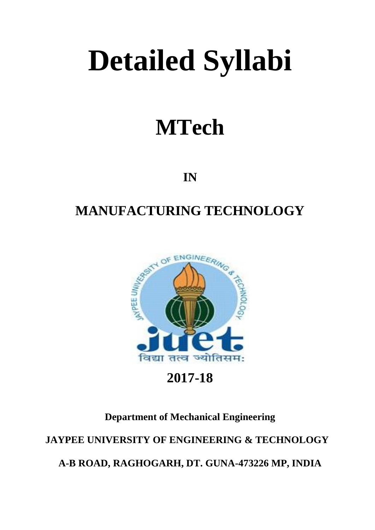# **Detailed Syllabi**

## **MTech**

**IN**

## **MANUFACTURING TECHNOLOGY**



**2017-18**

### **Department of Mechanical Engineering**

**JAYPEE UNIVERSITY OF ENGINEERING & TECHNOLOGY**

**A-B ROAD, RAGHOGARH, DT. GUNA-473226 MP, INDIA**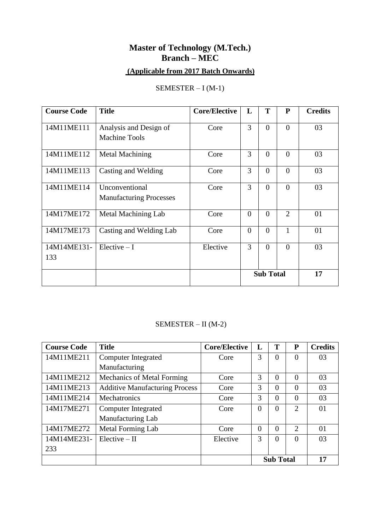## **Master of Technology (M.Tech.) Branch – MEC**

## **(Applicable from 2017 Batch Onwards)**

#### SEMESTER – I (M-1)

| <b>Course Code</b> | <b>Title</b>                                     | <b>Core/Elective</b> | L                | T        | $\mathbf{P}$   | <b>Credits</b> |
|--------------------|--------------------------------------------------|----------------------|------------------|----------|----------------|----------------|
| 14M11ME111         | Analysis and Design of<br><b>Machine Tools</b>   | Core                 | 3                | $\theta$ | $\theta$       | 03             |
| 14M11ME112         | Metal Machining                                  | Core                 | 3                | $\theta$ | $\theta$       | 03             |
| 14M11ME113         | Casting and Welding                              | Core                 | 3                | $\theta$ | $\theta$       | 03             |
| 14M11ME114         | Unconventional<br><b>Manufacturing Processes</b> | Core                 | 3                | $\theta$ | $\Omega$       | 03             |
| 14M17ME172         | Metal Machining Lab                              | Core                 | $\overline{0}$   | $\theta$ | $\overline{2}$ | 01             |
| 14M17ME173         | Casting and Welding Lab                          | Core                 | $\overline{0}$   | $\theta$ | 1              | 01             |
| 14M14ME131-<br>133 | $Electric - I$                                   | Elective             | 3                | $\theta$ | $\theta$       | 03             |
|                    |                                                  |                      | <b>Sub Total</b> |          |                | 17             |

#### SEMESTER – II (M-2)

| <b>Course Code</b> | <b>Title</b>                          | <b>Core/Elective</b> | L                | T        | $\mathbf{P}$   | <b>Credits</b> |
|--------------------|---------------------------------------|----------------------|------------------|----------|----------------|----------------|
| 14M11ME211         | Computer Integrated                   | Core                 | 3                | 0        | $\overline{0}$ | 03             |
|                    | Manufacturing                         |                      |                  |          |                |                |
| 14M11ME212         | Mechanics of Metal Forming            | Core                 | 3                | 0        | $\Omega$       | 03             |
| 14M11ME213         | <b>Additive Manufacturing Process</b> | Core                 | 3                | 0        | $\theta$       | 03             |
| 14M11ME214         | Mechatronics                          | Core                 | 3                | 0        | $\theta$       | 03             |
| 14M17ME271         | Computer Integrated                   | Core                 | $\Omega$         | $\theta$ | 2              | 01             |
|                    | Manufacturing Lab                     |                      |                  |          |                |                |
| 14M17ME272         | <b>Metal Forming Lab</b>              | Core                 | $\Omega$         | 0        | $\overline{2}$ | 01             |
| 14M14ME231-        | $Elective - II$                       | Elective             | 3                | 0        | $\overline{0}$ | 03             |
| 233                |                                       |                      |                  |          |                |                |
|                    |                                       |                      | <b>Sub Total</b> |          | 17             |                |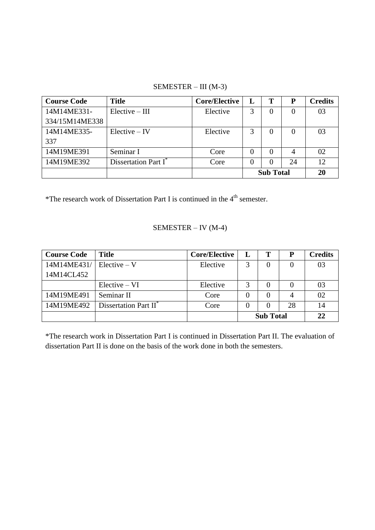#### SEMESTER – III (M-3)

| <b>Course Code</b> | <b>Title</b>                     | <b>Core/Elective</b> | L                | т              | P        | <b>Credits</b> |
|--------------------|----------------------------------|----------------------|------------------|----------------|----------|----------------|
| 14M14ME331-        | $Elective - III$                 | Elective             | 3                | $\Omega$       | $\Omega$ | 03             |
| 334/15M14ME338     |                                  |                      |                  |                |          |                |
| 14M14ME335-        | $Electric - IV$                  | Elective             | 3                | $\overline{0}$ | $\theta$ | 03             |
| 337                |                                  |                      |                  |                |          |                |
| 14M19ME391         | Seminar I                        | Core                 |                  | $\Omega$       |          | 02             |
| 14M19ME392         | Dissertation Part I <sup>*</sup> | Core                 |                  | $\Omega$       | 24       | 12             |
|                    |                                  |                      | <b>Sub Total</b> |                | 20       |                |

\*The research work of Dissertation Part I is continued in the 4th semester.

#### SEMESTER – IV (M-4)

| <b>Course Code</b> | <b>Title</b>                      | <b>Core/Elective</b> | L                | m        |    | <b>Credits</b> |
|--------------------|-----------------------------------|----------------------|------------------|----------|----|----------------|
| 14M14ME431/        | $Electric-V$                      | Elective             | 3                | $\theta$ |    | 03             |
| 14M14CL452         |                                   |                      |                  |          |    |                |
|                    | $Electric - VI$                   | Elective             | 3                |          |    | 03             |
| 14M19ME491         | Seminar II                        | Core                 |                  |          |    | 02             |
| 14M19ME492         | Dissertation Part II <sup>®</sup> | Core                 | $\Omega$         |          | 28 | 14             |
|                    |                                   |                      | <b>Sub Total</b> |          | 22 |                |

\*The research work in Dissertation Part I is continued in Dissertation Part II. The evaluation of dissertation Part II is done on the basis of the work done in both the semesters.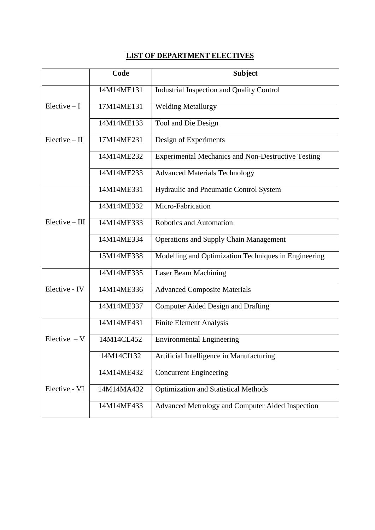#### **LIST OF DEPARTMENT ELECTIVES**

|                  | Code       | <b>Subject</b>                                            |
|------------------|------------|-----------------------------------------------------------|
|                  | 14M14ME131 | <b>Industrial Inspection and Quality Control</b>          |
| $Electric - I$   | 17M14ME131 | <b>Welding Metallurgy</b>                                 |
|                  | 14M14ME133 | Tool and Die Design                                       |
| $Electric - II$  | 17M14ME231 | Design of Experiments                                     |
|                  | 14M14ME232 | <b>Experimental Mechanics and Non-Destructive Testing</b> |
|                  | 14M14ME233 | <b>Advanced Materials Technology</b>                      |
|                  | 14M14ME331 | Hydraulic and Pneumatic Control System                    |
|                  | 14M14ME332 | Micro-Fabrication                                         |
| $Electric - III$ | 14M14ME333 | Robotics and Automation                                   |
|                  | 14M14ME334 | <b>Operations and Supply Chain Management</b>             |
|                  | 15M14ME338 | Modelling and Optimization Techniques in Engineering      |
|                  | 14M14ME335 | Laser Beam Machining                                      |
| Elective - IV    | 14M14ME336 | <b>Advanced Composite Materials</b>                       |
|                  | 14M14ME337 | Computer Aided Design and Drafting                        |
|                  | 14M14ME431 | <b>Finite Element Analysis</b>                            |
| Elective $-V$    | 14M14CL452 | <b>Environmental Engineering</b>                          |
|                  | 14M14CI132 | Artificial Intelligence in Manufacturing                  |
|                  | 14M14ME432 | Concurrent Engineering                                    |
| Elective - VI    | 14M14MA432 | <b>Optimization and Statistical Methods</b>               |
|                  | 14M14ME433 | Advanced Metrology and Computer Aided Inspection          |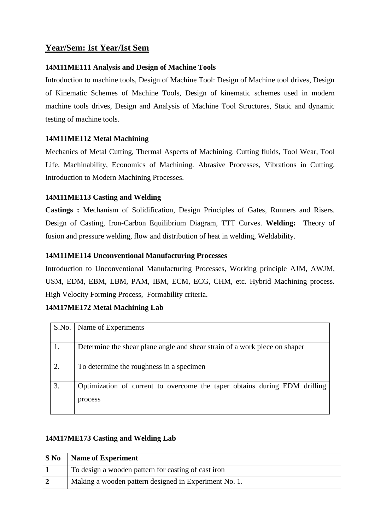#### **Year/Sem: Ist Year/Ist Sem**

#### **14M11ME111 Analysis and Design of Machine Tools**

Introduction to machine tools, Design of Machine Tool: Design of Machine tool drives, Design of Kinematic Schemes of Machine Tools, Design of kinematic schemes used in modern machine tools drives, Design and Analysis of Machine Tool Structures, Static and dynamic testing of machine tools.

#### **14M11ME112 Metal Machining**

Mechanics of Metal Cutting, Thermal Aspects of Machining. Cutting fluids, Tool Wear, Tool Life. Machinability, Economics of Machining. Abrasive Processes, Vibrations in Cutting. Introduction to Modern Machining Processes.

#### **14M11ME113 Casting and Welding**

**Castings :** Mechanism of Solidification, Design Principles of Gates, Runners and Risers. Design of Casting, Iron-Carbon Equilibrium Diagram, TTT Curves. **Welding:** Theory of fusion and pressure welding, flow and distribution of heat in welding, Weldability.

#### **14M11ME114 Unconventional Manufacturing Processes**

Introduction to Unconventional Manufacturing Processes, Working principle AJM, AWJM, USM, EDM, EBM, LBM, PAM, IBM, ECM, ECG, CHM, etc. Hybrid Machining process. High Velocity Forming Process, Formability criteria.

#### **14M17ME172 Metal Machining Lab**

| S.No. | Name of Experiments                                                                  |
|-------|--------------------------------------------------------------------------------------|
|       | Determine the shear plane angle and shear strain of a work piece on shaper           |
| 2.    | To determine the roughness in a specimen                                             |
| 3.    | Optimization of current to overcome the taper obtains during EDM drilling<br>process |

#### **14M17ME173 Casting and Welding Lab**

| $S$ No | <b>Name of Experiment</b>                             |
|--------|-------------------------------------------------------|
|        | To design a wooden pattern for casting of cast iron   |
|        | Making a wooden pattern designed in Experiment No. 1. |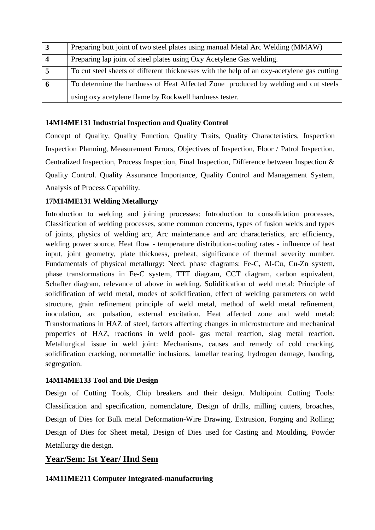| 3                | Preparing butt joint of two steel plates using manual Metal Arc Welding (MMAW)             |
|------------------|--------------------------------------------------------------------------------------------|
| $\boldsymbol{4}$ | Preparing lap joint of steel plates using Oxy Acetylene Gas welding.                       |
|                  | To cut steel sheets of different thicknesses with the help of an oxy-acetylene gas cutting |
| $\theta$         | To determine the hardness of Heat Affected Zone produced by welding and cut steels         |
|                  | using oxy acetylene flame by Rockwell hardness tester.                                     |

#### **14M14ME131 Industrial Inspection and Quality Control**

Concept of Quality, Quality Function, Quality Traits, Quality Characteristics, Inspection Inspection Planning, Measurement Errors, Objectives of Inspection, Floor / Patrol Inspection, Centralized Inspection, Process Inspection, Final Inspection, Difference between Inspection & Quality Control. Quality Assurance Importance, Quality Control and Management System, Analysis of Process Capability.

#### **17M14ME131 Welding Metallurgy**

Introduction to welding and joining processes: Introduction to consolidation processes, Classification of welding processes, some common concerns, types of fusion welds and types of joints, physics of welding arc, Arc maintenance and arc characteristics, arc efficiency, welding power source. Heat flow - temperature distribution-cooling rates - influence of heat input, joint geometry, plate thickness, preheat, significance of thermal severity number. Fundamentals of physical metallurgy: Need, phase diagrams: Fe-C, Al-Cu, Cu-Zn system, phase transformations in Fe-C system, TTT diagram, CCT diagram, carbon equivalent, Schaffer diagram, relevance of above in welding. Solidification of weld metal: Principle of solidification of weld metal, modes of solidification, effect of welding parameters on weld structure, grain refinement principle of weld metal, method of weld metal refinement, inoculation, arc pulsation, external excitation. Heat affected zone and weld metal: Transformations in HAZ of steel, factors affecting changes in microstructure and mechanical properties of HAZ, reactions in weld pool- gas metal reaction, slag metal reaction. Metallurgical issue in weld joint: Mechanisms, causes and remedy of cold cracking, solidification cracking, nonmetallic inclusions, lamellar tearing, hydrogen damage, banding, segregation.

#### **14M14ME133 Tool and Die Design**

Design of Cutting Tools, Chip breakers and their design. Multipoint Cutting Tools: Classification and specification, nomenclature, Design of drills, milling cutters, broaches, Design of Dies for Bulk metal Deformation-Wire Drawing, Extrusion, Forging and Rolling; Design of Dies for Sheet metal, Design of Dies used for Casting and Moulding, Powder Metallurgy die design.

#### **Year/Sem: Ist Year/ IInd Sem**

#### **14M11ME211 Computer Integrated-manufacturing**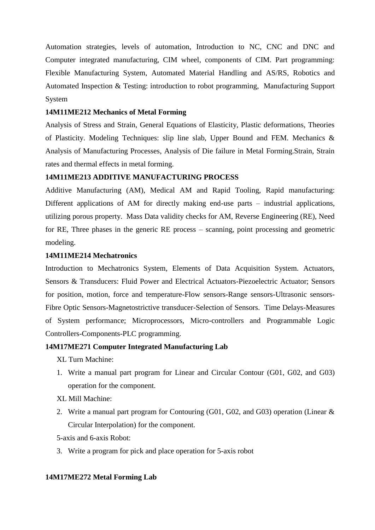Automation strategies, levels of automation, Introduction to NC, CNC and DNC and Computer integrated manufacturing, CIM wheel, components of CIM. Part programming: Flexible Manufacturing System, Automated Material Handling and AS/RS, Robotics and Automated Inspection & Testing: introduction to robot programming, Manufacturing Support System

#### **14M11ME212 Mechanics of Metal Forming**

Analysis of Stress and Strain, General Equations of Elasticity, Plastic deformations, Theories of Plasticity. Modeling Techniques: slip line slab, Upper Bound and FEM. Mechanics & Analysis of Manufacturing Processes, Analysis of Die failure in Metal Forming.Strain, Strain rates and thermal effects in metal forming.

#### **14M11ME213 ADDITIVE MANUFACTURING PROCESS**

Additive Manufacturing (AM), Medical AM and Rapid Tooling, Rapid manufacturing: Different applications of AM for directly making end-use parts – industrial applications, utilizing porous property. Mass Data validity checks for AM, Reverse Engineering (RE), Need for RE, Three phases in the generic RE process – scanning, point processing and geometric modeling.

#### **14M11ME214 Mechatronics**

Introduction to Mechatronics System, Elements of Data Acquisition System. Actuators, Sensors & Transducers: Fluid Power and Electrical Actuators-Piezoelectric Actuator; Sensors for position, motion, force and temperature-Flow sensors-Range sensors-Ultrasonic sensors-Fibre Optic Sensors-Magnetostrictive transducer-Selection of Sensors. Time Delays-Measures of System performance; Microprocessors, Micro-controllers and Programmable Logic Controllers-Components-PLC programming.

#### **14M17ME271 Computer Integrated Manufacturing Lab**

XL Turn Machine:

- 1. Write a manual part program for Linear and Circular Contour (G01, G02, and G03) operation for the component.
- XL Mill Machine:
- 2. Write a manual part program for Contouring (G01, G02, and G03) operation (Linear & Circular Interpolation) for the component.
- 5-axis and 6-axis Robot:
- 3. Write a program for pick and place operation for 5-axis robot

#### **14M17ME272 Metal Forming Lab**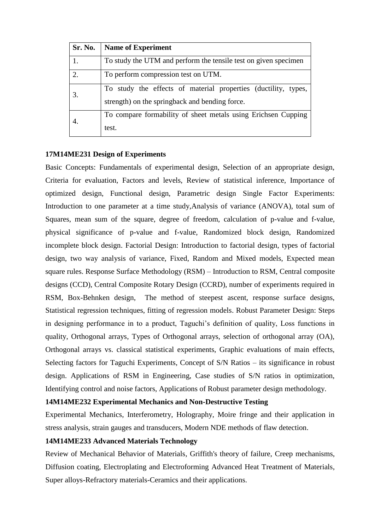| Sr. No. | <b>Name of Experiment</b>                                                                                        |
|---------|------------------------------------------------------------------------------------------------------------------|
| 1.      | To study the UTM and perform the tensile test on given specimen                                                  |
| 2.      | To perform compression test on UTM.                                                                              |
| 3.      | To study the effects of material properties (ductility, types,<br>strength) on the springback and bending force. |
| 4.      | To compare formability of sheet metals using Erichsen Cupping<br>test.                                           |

#### **17M14ME231 Design of Experiments**

Basic Concepts: Fundamentals of experimental design, Selection of an appropriate design, Criteria for evaluation, Factors and levels, Review of statistical inference, Importance of optimized design, Functional design, Parametric design Single Factor Experiments: Introduction to one parameter at a time study,Analysis of variance (ANOVA), total sum of Squares, mean sum of the square, degree of freedom, calculation of p-value and f-value, physical significance of p-value and f-value, Randomized block design, Randomized incomplete block design. Factorial Design: Introduction to factorial design, types of factorial design, two way analysis of variance, Fixed, Random and Mixed models, Expected mean square rules. Response Surface Methodology (RSM) – Introduction to RSM, Central composite designs (CCD), Central Composite Rotary Design (CCRD), number of experiments required in RSM, Box-Behnken design, The method of steepest ascent, response surface designs, Statistical regression techniques, fitting of regression models. Robust Parameter Design: Steps in designing performance in to a product, Taguchi's definition of quality, Loss functions in quality, Orthogonal arrays, Types of Orthogonal arrays, selection of orthogonal array (OA), Orthogonal arrays vs. classical statistical experiments, Graphic evaluations of main effects, Selecting factors for Taguchi Experiments, Concept of S/N Ratios – its significance in robust design. Applications of RSM in Engineering, Case studies of S/N ratios in optimization, Identifying control and noise factors, Applications of Robust parameter design methodology.

#### **14M14ME232 Experimental Mechanics and Non-Destructive Testing**

Experimental Mechanics, Interferometry, Holography, Moire fringe and their application in stress analysis, strain gauges and transducers, Modern NDE methods of flaw detection.

#### **14M14ME233 Advanced Materials Technology**

Review of Mechanical Behavior of Materials, Griffith's theory of failure, Creep mechanisms, Diffusion coating, Electroplating and Electroforming Advanced Heat Treatment of Materials, Super alloys-Refractory materials-Ceramics and their applications.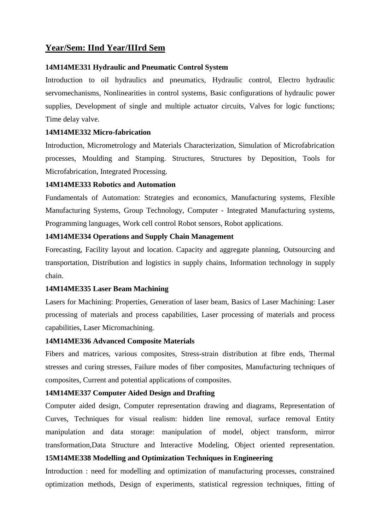#### **Year/Sem: IInd Year/IIIrd Sem**

#### **14M14ME331 Hydraulic and Pneumatic Control System**

Introduction to oil hydraulics and pneumatics, Hydraulic control, Electro hydraulic servomechanisms, Nonlinearities in control systems, Basic configurations of hydraulic power supplies, Development of single and multiple actuator circuits, Valves for logic functions; Time delay valve.

#### **14M14ME332 Micro-fabrication**

Introduction, Micrometrology and Materials Characterization, Simulation of Microfabrication processes, Moulding and Stamping. Structures, Structures by Deposition, Tools for Microfabrication, Integrated Processing.

#### **14M14ME333 Robotics and Automation**

Fundamentals of Automation: Strategies and economics, Manufacturing systems, Flexible Manufacturing Systems, Group Technology, Computer - Integrated Manufacturing systems, Programming languages, Work cell control Robot sensors, Robot applications.

#### **14M14ME334 Operations and Supply Chain Management**

Forecasting, Facility layout and location. Capacity and aggregate planning, Outsourcing and transportation, Distribution and logistics in supply chains, Information technology in supply chain.

#### **14M14ME335 Laser Beam Machining**

Lasers for Machining: Properties, Generation of laser beam, Basics of Laser Machining: Laser processing of materials and process capabilities, Laser processing of materials and process capabilities, Laser Micromachining.

#### **14M14ME336 Advanced Composite Materials**

Fibers and matrices, various composites, Stress-strain distribution at fibre ends, Thermal stresses and curing stresses, Failure modes of fiber composites, Manufacturing techniques of composites, Current and potential applications of composites.

#### **14M14ME337 Computer Aided Design and Drafting**

Computer aided design, Computer representation drawing and diagrams, Representation of Curves, Techniques for visual realism: hidden line removal, surface removal Entity manipulation and data storage: manipulation of model, object transform, mirror transformation,Data Structure and Interactive Modeling, Object oriented representation.

#### **15M14ME338 Modelling and Optimization Techniques in Engineering**

Introduction : need for modelling and optimization of manufacturing processes, constrained optimization methods, Design of experiments, statistical regression techniques, fitting of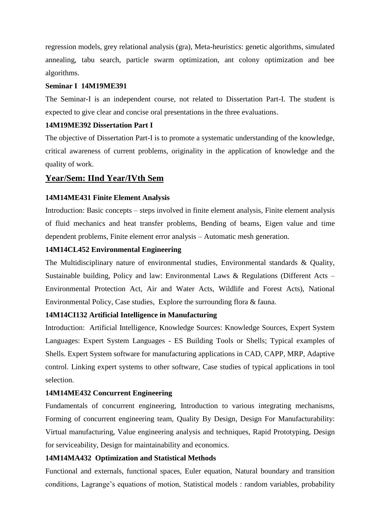regression models, grey relational analysis (gra), Meta-heuristics: genetic algorithms, simulated annealing, tabu search, particle swarm optimization, ant colony optimization and bee algorithms.

#### **Seminar I 14M19ME391**

The Seminar-I is an independent course, not related to Dissertation Part-I. The student is expected to give clear and concise oral presentations in the three evaluations.

#### **14M19ME392 Dissertation Part I**

The objective of Dissertation Part-I is to promote a systematic understanding of the knowledge, critical awareness of current problems, originality in the application of knowledge and the quality of work.

#### **Year/Sem: IInd Year/IVth Sem**

#### **14M14ME431 Finite Element Analysis**

Introduction: Basic concepts – steps involved in finite element analysis, Finite element analysis of fluid mechanics and heat transfer problems, Bending of beams, Eigen value and time dependent problems, Finite element error analysis – Automatic mesh generation.

#### **14M14CL452 Environmental Engineering**

The Multidisciplinary nature of environmental studies, Environmental standards & Quality, Sustainable building, Policy and law: Environmental Laws & Regulations (Different Acts – Environmental Protection Act, Air and Water Acts, Wildlife and Forest Acts), National Environmental Policy, Case studies, Explore the surrounding flora & fauna.

#### **14M14CI132 Artificial Intelligence in Manufacturing**

Introduction: Artificial Intelligence, Knowledge Sources: Knowledge Sources, Expert System Languages: Expert System Languages - ES Building Tools or Shells; Typical examples of Shells. Expert System software for manufacturing applications in CAD, CAPP, MRP, Adaptive control. Linking expert systems to other software, Case studies of typical applications in tool selection.

#### **14M14ME432 Concurrent Engineering**

Fundamentals of concurrent engineering, Introduction to various integrating mechanisms, Forming of concurrent engineering team, Quality By Design, Design For Manufacturability: Virtual manufacturing, Value engineering analysis and techniques, Rapid Prototyping, Design for serviceability, Design for maintainability and economics.

#### **14M14MA432 Optimization and Statistical Methods**

Functional and externals, functional spaces, Euler equation, Natural boundary and transition conditions, Lagrange's equations of motion, Statistical models : random variables, probability